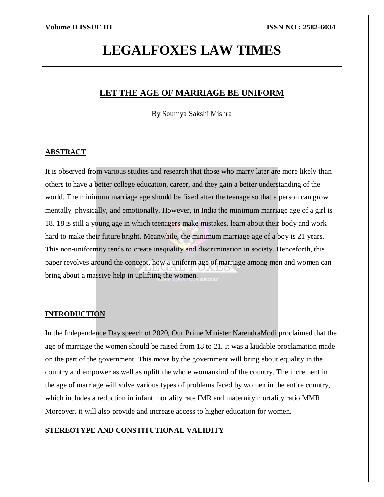# **LEGALFOXES LAW TIMES**

# **LET THE AGE OF MARRIAGE BE UNIFORM**

By Soumya Sakshi Mishra

# **ABSTRACT**

It is observed from various studies and research that those who marry later are more likely than others to have a better college education, career, and they gain a better understanding of the world. The minimum marriage age should be fixed after the teenage so that a person can grow mentally, physically, and emotionally. However, in India the minimum marriage age of a girl is 18. 18 is still a young age in which teenagers make mistakes, learn about their body and work hard to make their future bright. Meanwhile, the minimum marriage age of a boy is 21 years. This non-uniformity tends to create inequality and discrimination in society. Henceforth, this paper revolves around the concept, how a uniform age of marriage among men and women can bring about a massive help in uplifting the women.

# **INTRODUCTION**

In the Independence Day speech of 2020, Our Prime Minister NarendraModi proclaimed that the age of marriage the women should be raised from 18 to 21. It was a laudable proclamation made on the part of the government. This move by the government will bring about equality in the country and empower as well as uplift the whole womankind of the country. The increment in the age of marriage will solve various types of problems faced by women in the entire country, which includes a reduction in infant mortality rate IMR and maternity mortality ratio MMR. Moreover, it will also provide and increase access to higher education for women.

# **STEREOTYPE AND CONSTITUTIONAL VALIDITY**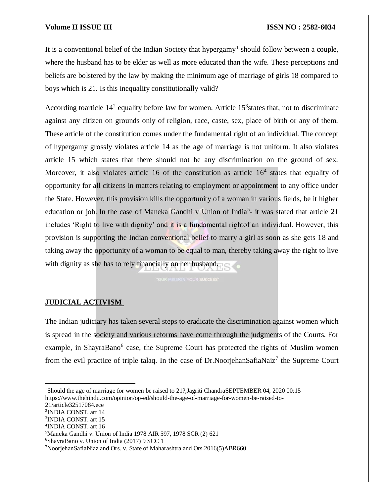#### **Volume II ISSUE III III ISSUE III ISSN NO** : 2582-6034

It is a conventional belief of the Indian Society that hypergamy<sup>1</sup> should follow between a couple, where the husband has to be elder as well as more educated than the wife. These perceptions and beliefs are bolstered by the law by making the minimum age of marriage of girls 18 compared to boys which is 21. Is this inequality constitutionally valid?

According toarticle  $14^2$  equality before law for women. Article  $15^3$  states that, not to discriminate against any citizen on grounds only of religion, race, caste, sex, place of birth or any of them. These article of the constitution comes under the fundamental right of an individual. The concept of hypergamy grossly violates article 14 as the age of marriage is not uniform. It also violates article 15 which states that there should not be any discrimination on the ground of sex. Moreover, it also violates article 16 of the constitution as article  $16<sup>4</sup>$  states that equality of opportunity for all citizens in matters relating to employment or appointment to any office under the State. However, this provision kills the opportunity of a woman in various fields, be it higher education or job. In the case of Maneka Gandhi v Union of India<sup>5</sup>- it was stated that article 21 includes 'Right to live with dignity' and it is a fundamental rightof an individual. However, this provision is supporting the Indian conventional belief to marry a girl as soon as she gets 18 and taking away the opportunity of a woman to be equal to man, thereby taking away the right to live with dignity as she has to rely financially on her husband.

# **JUDICIAL ACTIVISM**

The Indian judiciary has taken several steps to eradicate the discrimination against women which is spread in the society and various reforms have come through the judgments of the Courts. For example, in ShayraBano<sup>6</sup> case, the Supreme Court has protected the rights of Muslim women from the evil practice of triple talaq. In the case of Dr. Noorjehan Safia Naiz<sup>7</sup> the Supreme Court

https://www.thehindu.com/opinion/op-ed/should-the-age-of-marriage-for-women-be-raised-to-

21/article32517084.ece

 $\overline{a}$ 

- 2 INDIA CONST. art 14
- 3 INDIA CONST. art 15
- 4 INDIA CONST. art 16

<sup>5</sup>Maneka Gandhi v. Union of India 1978 AIR 597, 1978 SCR (2) 621

<sup>&</sup>lt;sup>1</sup>Should the age of marriage for women be raised to 21?, Jagriti ChandraSEPTEMBER 04, 2020 00:15

<sup>6</sup>ShayraBano v. Union of India (2017) 9 SCC 1

<sup>7</sup>NoorjehanSafiaNiaz and Ors. v. State of Maharashtra and Ors.2016(5)ABR660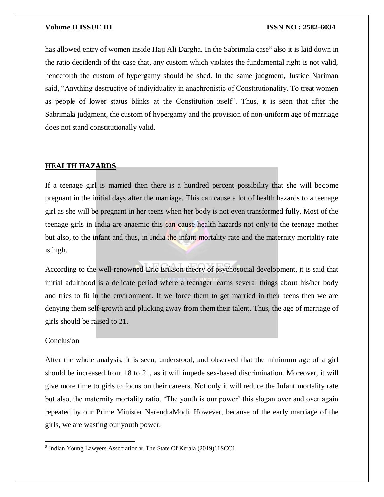#### **Volume II ISSUE III III ISSUE III ISSN NO** : 2582-6034

has allowed entry of women inside Haji Ali Dargha. In the Sabrimala case<sup>8</sup> also it is laid down in the ratio decidendi of the case that, any custom which violates the fundamental right is not valid, henceforth the custom of hypergamy should be shed. In the same judgment, Justice Nariman said, "Anything destructive of individuality in anachronistic of Constitutionality. To treat women as people of lower status blinks at the Constitution itself". Thus, it is seen that after the Sabrimala judgment, the custom of hypergamy and the provision of non-uniform age of marriage does not stand constitutionally valid.

### **HEALTH HAZARDS**

If a teenage girl is married then there is a hundred percent possibility that she will become pregnant in the initial days after the marriage. This can cause a lot of health hazards to a teenage girl as she will be pregnant in her teens when her body is not even transformed fully. Most of the teenage girls in India are anaemic this can cause health hazards not only to the teenage mother but also, to the infant and thus, in India the infant mortality rate and the maternity mortality rate is high.

According to the well-renowned Eric Erikson theory of psychosocial development, it is said that initial adulthood is a delicate period where a teenager learns several things about his/her body and tries to fit in the environment. If we force them to get married in their teens then we are denying them self-growth and plucking away from them their talent. Thus, the age of marriage of girls should be raised to 21.

#### Conclusion

 $\overline{a}$ 

After the whole analysis, it is seen, understood, and observed that the minimum age of a girl should be increased from 18 to 21, as it will impede sex-based discrimination. Moreover, it will give more time to girls to focus on their careers. Not only it will reduce the Infant mortality rate but also, the maternity mortality ratio. 'The youth is our power' this slogan over and over again repeated by our Prime Minister NarendraModi. However, because of the early marriage of the girls, we are wasting our youth power.

<sup>8</sup> Indian Young Lawyers Association v. The State Of Kerala (2019)11SCC1